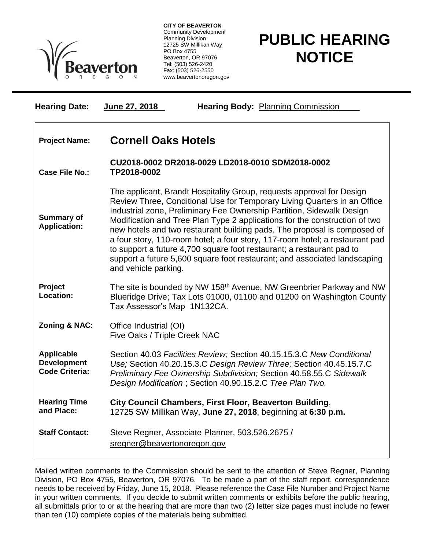

**CITY OF BEAVERTON** Community Development Planning Division 12725 SW Millikan Way PO Box 4755 Beaverton, OR 97076 Tel: (503) 526-2420 Fax: (503) 526-2550 www.beavertonoregon.gov

## **PUBLIC HEARING NOTICE**

| <b>Hearing Date:</b>                                             | June 27, 2018<br><b>Hearing Body: Planning Commission</b>                                                                                                                                                                                                                                                                                                                                                                                                                                                                                                                                                                                          |
|------------------------------------------------------------------|----------------------------------------------------------------------------------------------------------------------------------------------------------------------------------------------------------------------------------------------------------------------------------------------------------------------------------------------------------------------------------------------------------------------------------------------------------------------------------------------------------------------------------------------------------------------------------------------------------------------------------------------------|
| <b>Project Name:</b>                                             | <b>Cornell Oaks Hotels</b>                                                                                                                                                                                                                                                                                                                                                                                                                                                                                                                                                                                                                         |
| <b>Case File No.:</b>                                            | CU2018-0002 DR2018-0029 LD2018-0010 SDM2018-0002<br>TP2018-0002                                                                                                                                                                                                                                                                                                                                                                                                                                                                                                                                                                                    |
| <b>Summary of</b><br><b>Application:</b>                         | The applicant, Brandt Hospitality Group, requests approval for Design<br>Review Three, Conditional Use for Temporary Living Quarters in an Office<br>Industrial zone, Preliminary Fee Ownership Partition, Sidewalk Design<br>Modification and Tree Plan Type 2 applications for the construction of two<br>new hotels and two restaurant building pads. The proposal is composed of<br>a four story, 110-room hotel; a four story, 117-room hotel; a restaurant pad<br>to support a future 4,700 square foot restaurant; a restaurant pad to<br>support a future 5,600 square foot restaurant; and associated landscaping<br>and vehicle parking. |
| Project<br>Location:                                             | The site is bounded by NW 158 <sup>th</sup> Avenue, NW Greenbrier Parkway and NW<br>Blueridge Drive; Tax Lots 01000, 01100 and 01200 on Washington County<br>Tax Assessor's Map 1N132CA.                                                                                                                                                                                                                                                                                                                                                                                                                                                           |
| Zoning & NAC:                                                    | Office Industrial (OI)<br>Five Oaks / Triple Creek NAC                                                                                                                                                                                                                                                                                                                                                                                                                                                                                                                                                                                             |
| <b>Applicable</b><br><b>Development</b><br><b>Code Criteria:</b> | Section 40.03 Facilities Review; Section 40.15.15.3.C New Conditional<br>Use; Section 40.20.15.3.C Design Review Three; Section 40.45.15.7.C<br>Preliminary Fee Ownership Subdivision; Section 40.58.55.C Sidewalk<br>Design Modification; Section 40.90.15.2.C Tree Plan Two.                                                                                                                                                                                                                                                                                                                                                                     |
| <b>Hearing Time</b><br>and Place:                                | City Council Chambers, First Floor, Beaverton Building,<br>12725 SW Millikan Way, June 27, 2018, beginning at 6:30 p.m.                                                                                                                                                                                                                                                                                                                                                                                                                                                                                                                            |
| <b>Staff Contact:</b>                                            | Steve Regner, Associate Planner, 503.526.2675 /<br>sregner@beavertonoregon.gov                                                                                                                                                                                                                                                                                                                                                                                                                                                                                                                                                                     |

Mailed written comments to the Commission should be sent to the attention of Steve Regner, Planning Division, PO Box 4755, Beaverton, OR 97076. To be made a part of the staff report, correspondence needs to be received by Friday, June 15, 2018. Please reference the Case File Number and Project Name in your written comments. If you decide to submit written comments or exhibits before the public hearing, all submittals prior to or at the hearing that are more than two (2) letter size pages must include no fewer than ten (10) complete copies of the materials being submitted.